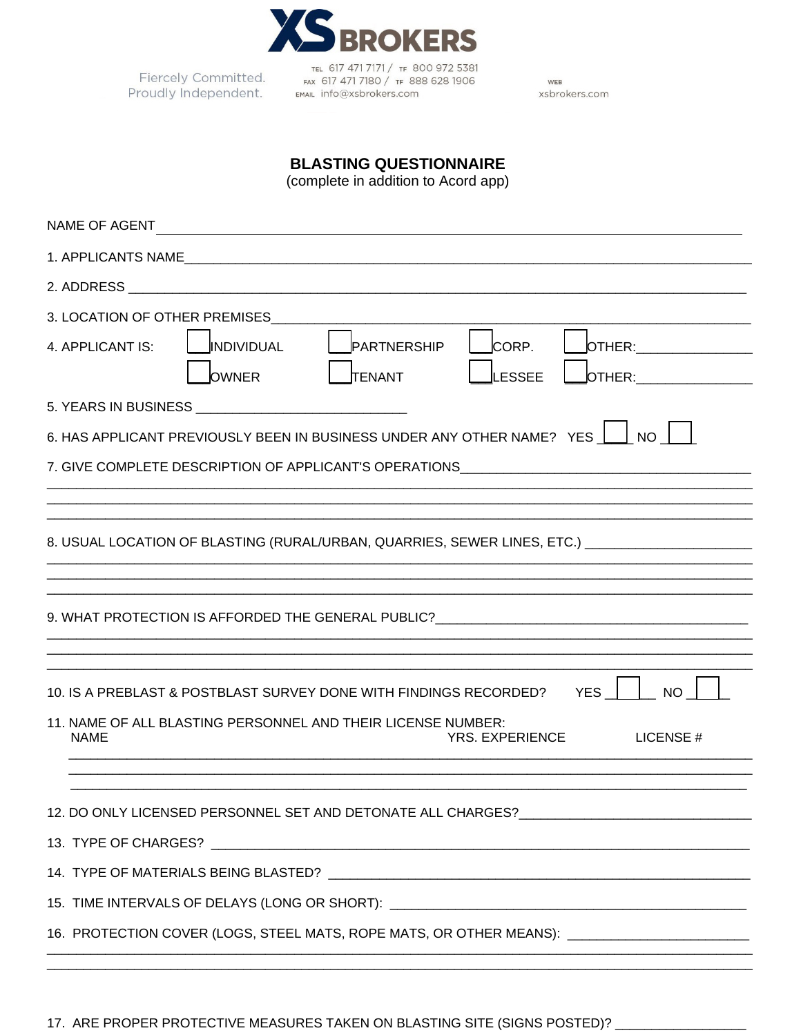

Fiercely Committed. Proudly Independent.

TEL 617 471 7171 / TF 800 972 5381<br>FAX 617 471 7180 / TF 888 628 1906 EMAIL info@xsbrokers.com

WEB xsbrokers.com

## **BLASTING QUESTIONNAIRE**

(complete in addition to Acord app)

| NAME OF AGENT                                                                                                                                |  |  |  |  |  |  |
|----------------------------------------------------------------------------------------------------------------------------------------------|--|--|--|--|--|--|
|                                                                                                                                              |  |  |  |  |  |  |
|                                                                                                                                              |  |  |  |  |  |  |
| 3. LOCATION OF OTHER PREMISES                                                                                                                |  |  |  |  |  |  |
| CORP.<br>4. APPLICANT IS:<br>INDIVIDUAL<br>PARTNERSHIP<br>OTHER: _______________<br><b>LESSEE</b><br><b>OWNER</b><br>OTHER:<br><b>TENANT</b> |  |  |  |  |  |  |
|                                                                                                                                              |  |  |  |  |  |  |
| 6. HAS APPLICANT PREVIOUSLY BEEN IN BUSINESS UNDER ANY OTHER NAME? YES $\Box$ NO                                                             |  |  |  |  |  |  |
| 7. GIVE COMPLETE DESCRIPTION OF APPLICANT'S OPERATIONS _________________________                                                             |  |  |  |  |  |  |
|                                                                                                                                              |  |  |  |  |  |  |
| 8. USUAL LOCATION OF BLASTING (RURAL/URBAN, QUARRIES, SEWER LINES, ETC.) CONTRIBUTION                                                        |  |  |  |  |  |  |
|                                                                                                                                              |  |  |  |  |  |  |
|                                                                                                                                              |  |  |  |  |  |  |
|                                                                                                                                              |  |  |  |  |  |  |
| 10. IS A PREBLAST & POSTBLAST SURVEY DONE WITH FINDINGS RECORDED? YES<br><b>NO</b>                                                           |  |  |  |  |  |  |
| 11. NAME OF ALL BLASTING PERSONNEL AND THEIR LICENSE NUMBER:<br><b>NAME</b><br><b>YRS. EXPERIENCE</b><br>LICENSE#                            |  |  |  |  |  |  |
|                                                                                                                                              |  |  |  |  |  |  |
| 12. DO ONLY LICENSED PERSONNEL SET AND DETONATE ALL CHARGES?_____________________                                                            |  |  |  |  |  |  |
|                                                                                                                                              |  |  |  |  |  |  |
|                                                                                                                                              |  |  |  |  |  |  |
| 15. TIME INTERVALS OF DELAYS (LONG OR SHORT): __________________________________                                                             |  |  |  |  |  |  |
| 16. PROTECTION COVER (LOGS, STEEL MATS, ROPE MATS, OR OTHER MEANS): ________________________                                                 |  |  |  |  |  |  |
|                                                                                                                                              |  |  |  |  |  |  |